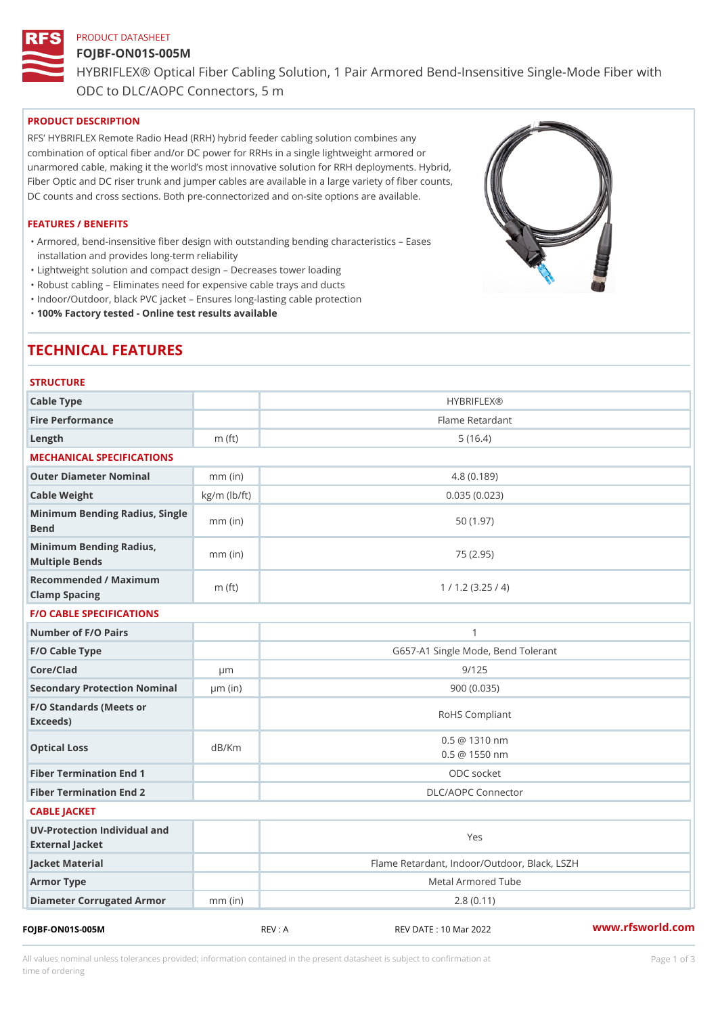# PRODUCT DATASHEET FOJBF-ON01S-005M HYBRIFLEX® Optical Fiber Cabling Solution, 1 Pair Armored Bend-Inse ODC to DLC/AOPC Connectors, 5 m

#### PRODUCT DESCRIPTION

RFS HYBRIFLEX Remote Radio Head (RRH) hybrid feeder cabling solution combines any combination of optical fiber and/or DC power for RRHs in a single lightweight armored or unarmored cable, making it the world s most innovative solution for RRH deployments. Hybrid, Fiber Optic and DC riser trunk and jumper cables are available in a large variety of fiber counts, DC counts and cross sections. Both pre-connectorized and on-site options are available.

#### FEATURES / BENEFITS

Armored, bend-insensitive fiber design with outstanding bending characteristics Eases " installation and provides long-term reliability

"Lightweight solution and compact design Decreases tower loading

"Robust cabling Eliminates need for expensive cable trays and ducts

"Indoor/Outdoor, black PVC jacket Ensures long-lasting cable protection

"100% Factory tested - Online test results available

# TECHNICAL FEATURES

| <b>STRUCTURE</b>                                  |                    |                                              |
|---------------------------------------------------|--------------------|----------------------------------------------|
| Cable Type                                        |                    | <b>HYBRIFLEX®</b>                            |
| Fire Performance                                  |                    | Flame Retardant                              |
| $L$ ength                                         | $m$ (ft)           | 5(16.4)                                      |
| MECHANICAL SPECIFICATIONS                         |                    |                                              |
| Outer Diameter Nominal                            | $mm$ (in)          | 4.8(0.189)                                   |
| Cable Weight                                      | $kg/m$ ( $lb/ft$ ) | 0.035(0.023)                                 |
| Minimum Bending Radius, Single<br>mm (in)<br>Bend |                    | 50 (1.97)                                    |
| Minimum Bending Radius, mm (in)<br>Multiple Bends |                    | 75 (2.95)                                    |
| Recommended / Maximum<br>Clamp Spacing            | $m$ (ft)           | 1 / 1.2 (3.25 / 4)                           |
| <b>F/O CABLE SPECIFICATIONS</b>                   |                    |                                              |
| Number of F/O Pairs                               |                    | $\mathbf{1}$                                 |
| F/O Cable Type                                    |                    | G657-A1 Single Mode, Bend Tolerant           |
| Core/Clad                                         | $\mu$ m            | 9/125                                        |
| Secondary Protection Nomimal(in)                  |                    | 900(0.035)                                   |
| F/O Standards (Meets or<br>Exceeds)               |                    | RoHS Compliant                               |
| Optical Loss                                      | dB/Km              | 0.5 @ 1310 nm<br>$0.5 \ @ \ 1550 \ nm$       |
| Fiber Termination End                             |                    | ODC socket                                   |
| Fiber Termination End 2                           |                    | DLC/AOPC Connector                           |
| CABLE JACKET                                      |                    |                                              |
| UV-Protection Individual and<br>External Jacket   |                    | Yes                                          |
| Jacket Material                                   |                    | Flame Retardant, Indoor/Outdoor, Black, LSZH |
| Armor Type                                        |                    | Metal Armored Tube                           |
| Diameter Corrugated Armomm (in)                   |                    | 2.8(0.11)                                    |
|                                                   |                    |                                              |

FOJBF-ON01S-005M REV : A REV DATE : 10 Mar 2022 [www.](https://www.rfsworld.com)rfsworld.com

All values nominal unless tolerances provided; information contained in the present datasheet is subject to Pcapgeign mation time of ordering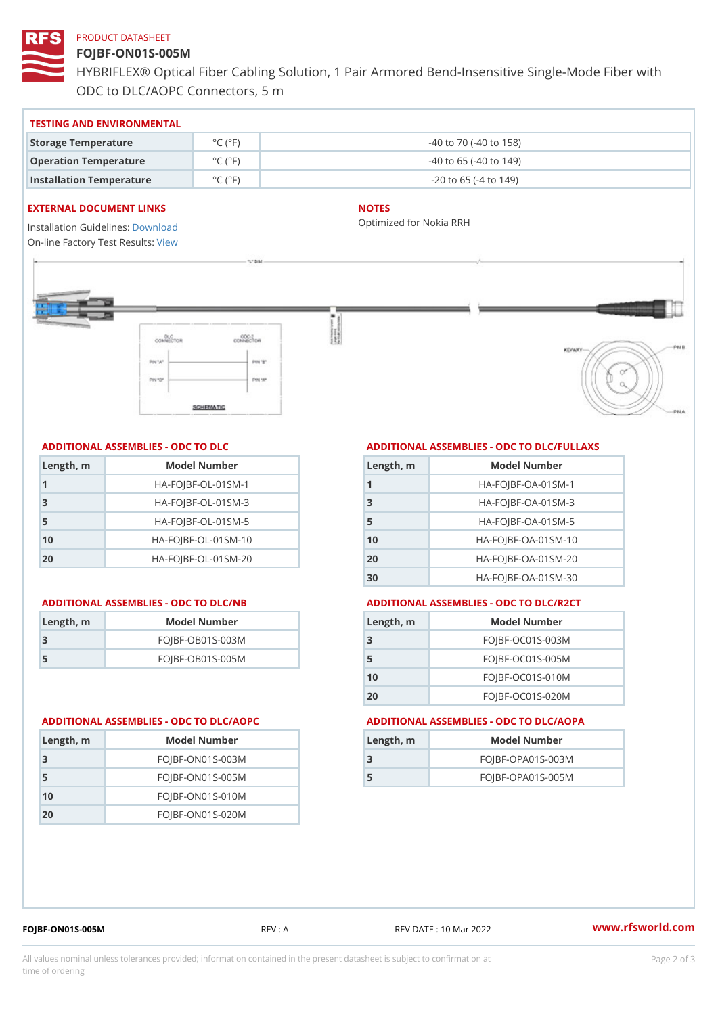## PRODUCT DATASHEET

# FOJBF-ON01S-005M

HYBRIFLEX® Optical Fiber Cabling Solution, 1 Pair Armored Bend-Inse ODC to DLC/AOPC Connectors, 5 m

#### TESTING AND ENVIRONMENTAL

| Storage Temperature              | $^{\circ}$ C ( $^{\circ}$ F $\vert$ | $-40$ to $70$ ( $-40$ to $158$ ) |
|----------------------------------|-------------------------------------|----------------------------------|
| Operation Temperature            | $^{\circ}$ C ( $^{\circ}$ F)        | $-40$ to 65 ( $-40$ to 149)      |
| Installation Temperature °C (°F) |                                     | $-20$ to 65 ( $-4$ to 149)       |

#### EXTERNAL DOCUMENT LINKS

Installation Guidelwinessad On-line Factory Te[s](https://www.rfsworld.com/pictures/userfiles/programs/AAST Latest Version.zip)teResults:

#### NOTES

Optimized for Nokia RRH

## ADDITIONAL ASSEMBLIES - ODC TO DLC

| Length, m | Model Number                   |
|-----------|--------------------------------|
| 1         | $HA - FOJBF - OL - 01SM - 1$   |
| -3        | $HA-FOJBF-OL-01SM-3$           |
| -5        | $HA - FOJBF - OL - 01SM - 5$   |
| 10        | $HA - FOJBF - O L - 01SM - 10$ |
| 20        | $HA - FOJBF - O L - 01SM - 20$ |

| Length, m | Model Number       |
|-----------|--------------------|
| 3         | $FOJBF-OBO1S-OO3M$ |
| .5        | $FOJBF-OBO1S-OO5M$ |

# ADDITIONAL ASSEMBLIES - ODC TO DLC/FULLAXS

| Length, m | Model Number                 |
|-----------|------------------------------|
|           | $HA - FOJBF - OA - 01SM - 1$ |
| 3         | $HA - FOJBF - OA - 01SM - B$ |
| 5         | $HA - FOJBF - OA - 01SM - 5$ |
| 10        | HA-FOJBF-OA-01SM-10          |
| 20        | HA-FOJBF-OA-01SM-20          |
| 30        | HA-FOJBF-OA-01SM-30          |

#### ADDITIONAL ASSEMBLIES - ODC TO DLC/NB ADDITIONAL ASSEMBLIES - ODC TO DLC/R2CT

| Length, m | Model Number       |
|-----------|--------------------|
| -3        | FOJBF-OC01S-003M   |
| -5        | $FOJBF-OCO1S-OO5M$ |
| 10        | FOJBF-OC01S-010M   |
| 20        | FOJBF-OC01S-020M   |

#### ADDITIONAL ASSEMBLIES - ODC TO DLC/AOPC ADDITIONAL ASSEMBLIES - ODC TO DLC/AOPA

| Length, m | Model Number        |
|-----------|---------------------|
| 3         | $FOJBF-OPAO1S-003M$ |
| 5         | $FOJBF-OPAO1S-005M$ |
|           |                     |

| Length, m | Model Number       |
|-----------|--------------------|
| 3         | $FOJBF-ONO1S-OO3M$ |
| 5         | $FOJBF-ONO1S-005M$ |
| 10        | $FOJBF-ONO1S-010M$ |
| 20        | $FOJBF-ONO1S-020M$ |

FOJBF-ON01S-005M REV : A REV DATE : 10 Mar 2022 [www.](https://www.rfsworld.com)rfsworld.com

All values nominal unless tolerances provided; information contained in the present datasheet is subject to Pcapgelio an atio time of ordering